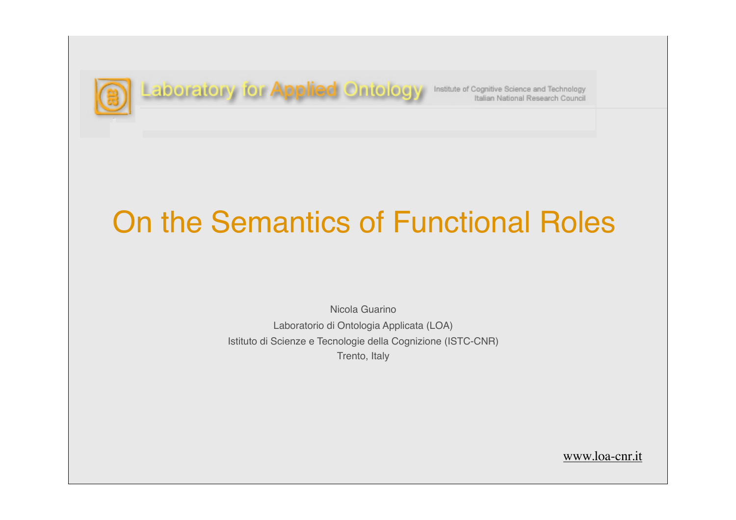

**Laboratory for Applied Ontology** Institute of Cognitive Science and Technology

# On the Semantics of Functional Roles

Nicola Guarino Laboratorio di Ontologia Applicata (LOA) Istituto di Scienze e Tecnologie della Cognizione (ISTC-CNR) Trento, Italy

www.loa-cnr.it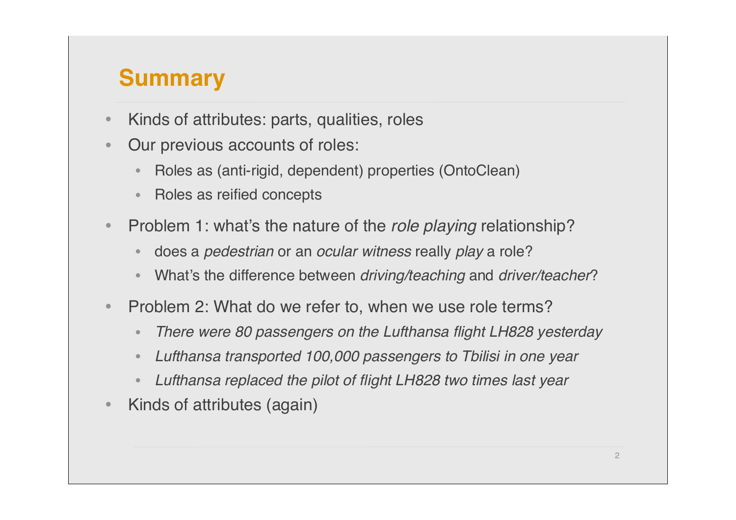# **Summary**

- Kinds of attributes: parts, qualities, roles
- Our previous accounts of roles:
	- Roles as (anti-rigid, dependent) properties (OntoClean)
	- Roles as reified concepts
- Problem 1: what's the nature of the *role playing* relationship?
	- does a *pedestrian* or an *ocular witness* really *play* a role?
	- What's the difference between *driving/teaching* and *driver/teacher*?
- Problem 2: What do we refer to, when we use role terms?
	- *There were 80 passengers on the Lufthansa flight LH828 yesterday*
	- *Lufthansa transported 100,000 passengers to Tbilisi in one year*
	- *Lufthansa replaced the pilot of flight LH828 two times last year*
- Kinds of attributes (again)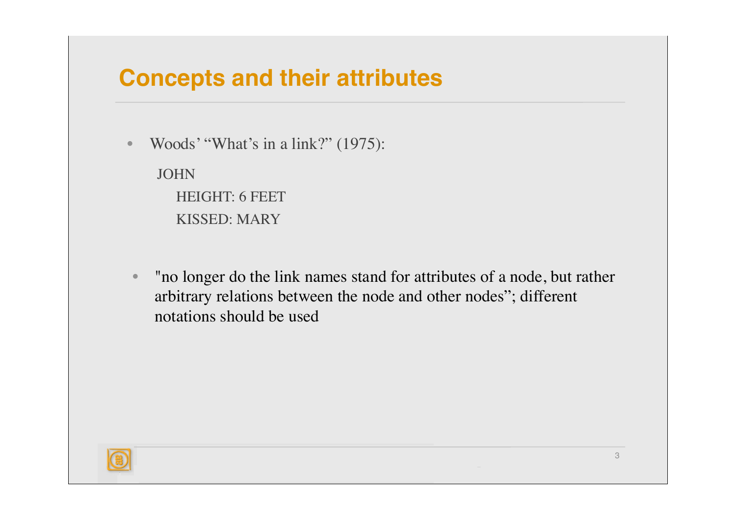#### **Concepts and their attributes**

• Woods' "What's in a link?" (1975):

JOHN HEIGHT: 6 FEET KISSED: MARY

• "no longer do the link names stand for attributes of a node, but rather arbitrary relations between the node and other nodes"; different notations should be used

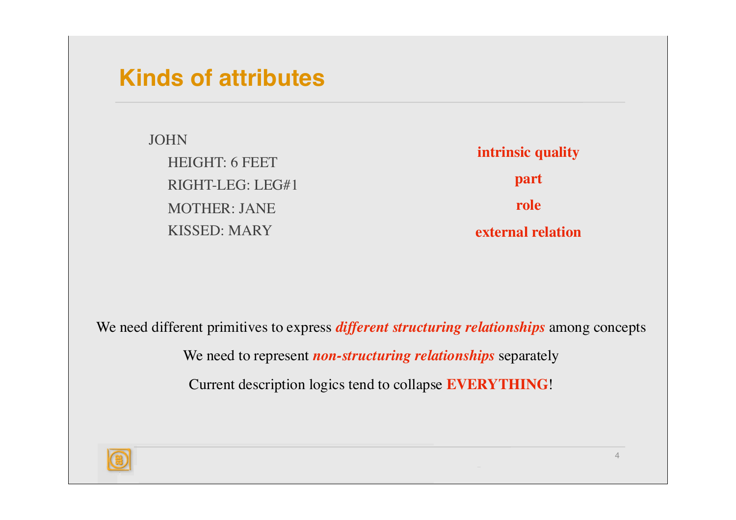#### **Kinds of attributes**

JOHN HEIGHT: 6 FEET RIGHT-LEG: LEG#1 MOTHER: JANE KISSED: MARY

**intrinsic quality part role external relation**

We need different primitives to express *different structuring relationships* among concepts

We need to represent *non-structuring relationships* separately

Current description logics tend to collapse **EVERYTHING**!

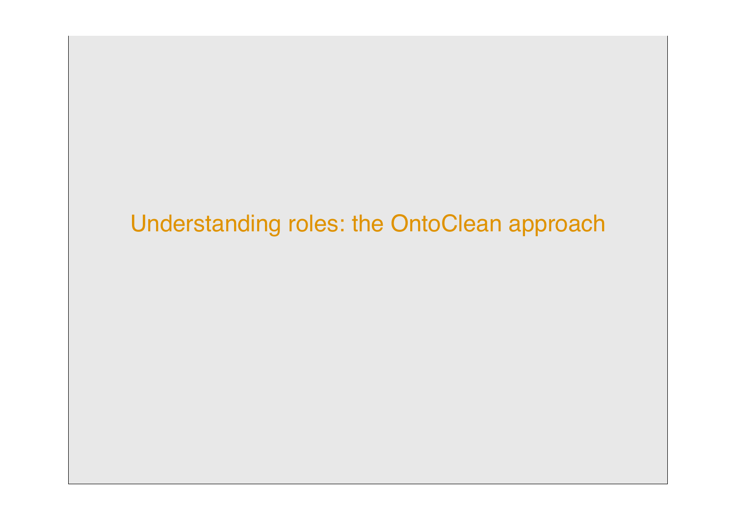# Understanding roles: the OntoClean approach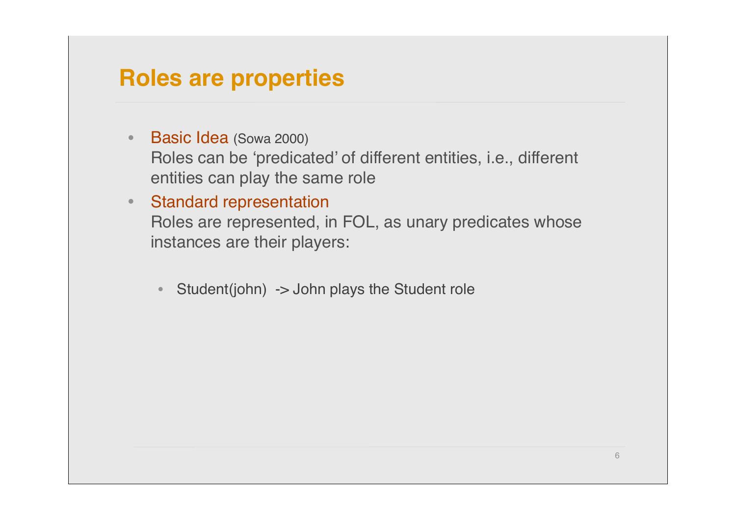#### **Roles are properties**

- Basic Idea (Sowa 2000) Roles can be 'predicated' of different entities, i.e., different entities can play the same role
- Standard representation Roles are represented, in FOL, as unary predicates whose instances are their players:
	- Student(john) -> John plays the Student role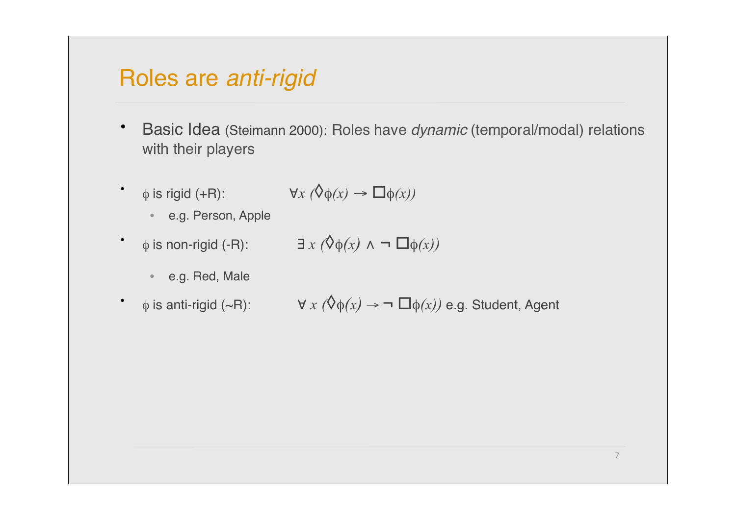#### Roles are *anti-rigid*

- Basic Idea (Steimann 2000): Roles have *dynamic* (temporal/modal) relations with their players
- $\bullet$  *φ* is rigid (+R):

$$
\forall x (\Diamond \phi(x) \rightarrow \Box \phi(x))
$$

- e.g. Person, Apple
- $\phi$  is non-rigid (-R):  $\exists x (\Diamond \phi(x) \land \neg \Box \phi(x))$ 
	- e.g. Red, Male
- $\phi$  is anti-rigid (~R):  $\forall x (\Diamond \phi(x) \rightarrow \neg \Box \phi(x))$  e.g. Student, Agent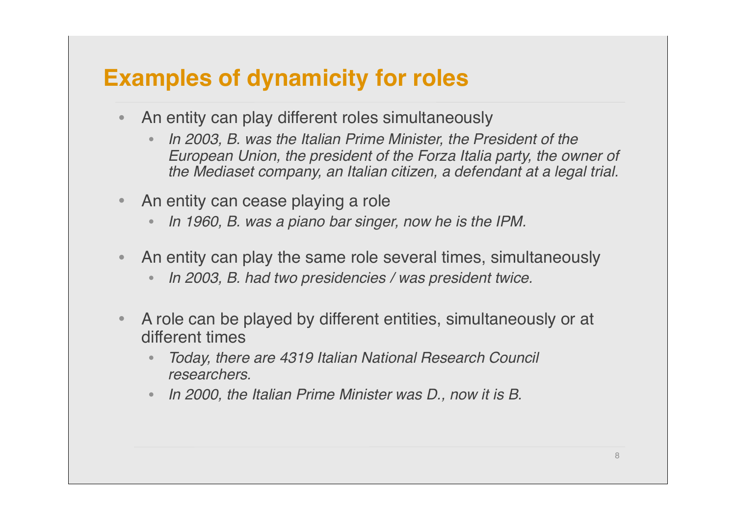### **Examples of dynamicity for roles**

- An entity can play different roles simultaneously
	- *In 2003, B. was the Italian Prime Minister, the President of the European Union, the president of the Forza Italia party, the owner of the Mediaset company, an Italian citizen, a defendant at a legal trial.*
- An entity can cease playing a role
	- *In 1960, B. was a piano bar singer, now he is the IPM.*
- An entity can play the same role several times, simultaneously
	- *In 2003, B. had two presidencies / was president twice.*
- A role can be played by different entities, simultaneously or at different times
	- *Today, there are 4319 Italian National Research Council researchers.*
	- *In 2000, the Italian Prime Minister was D., now it is B.*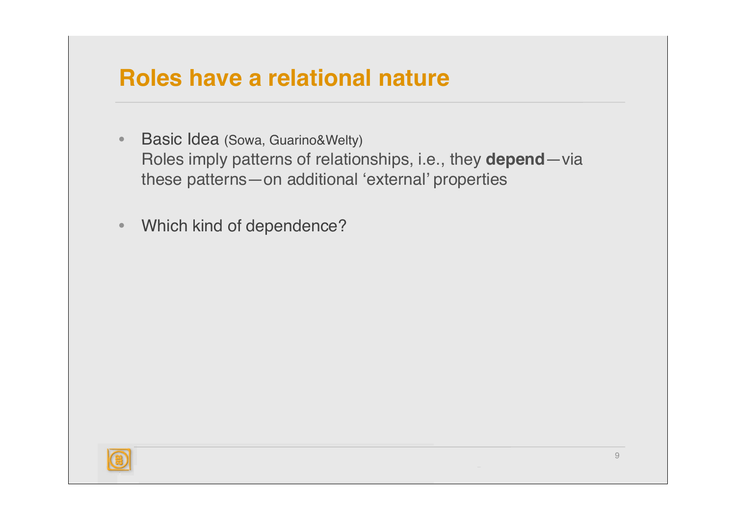#### **Roles have a relational nature**

- Basic Idea (Sowa, Guarino&Welty) Roles imply patterns of relationships, i.e., they **depend**—via these patterns—on additional 'external' properties
- Which kind of dependence?

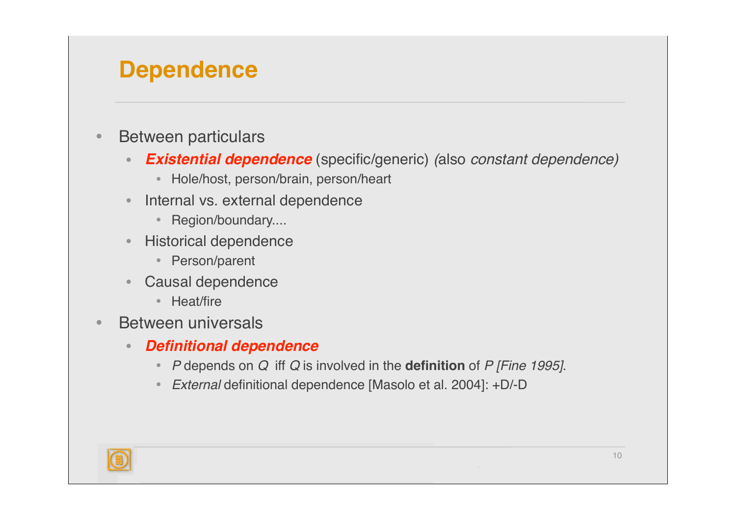### **Dependence**

- Between particulars
	- *Existential dependence* (specific/generic) *(*also *constant dependence)*
		- Hole/host, person/brain, person/heart
	- Internal vs. external dependence
		- Region/boundary....
	- Historical dependence
		- Person/parent
	- Causal dependence
		- Heat/fire
- Between universals
	- *Definitional dependence*
		- *P* depends on *Q* iff *Q* is involved in the **definition** of *P [Fine 1995]*.
		- *External* definitional dependence [Masolo et al. 2004]: +D/-D

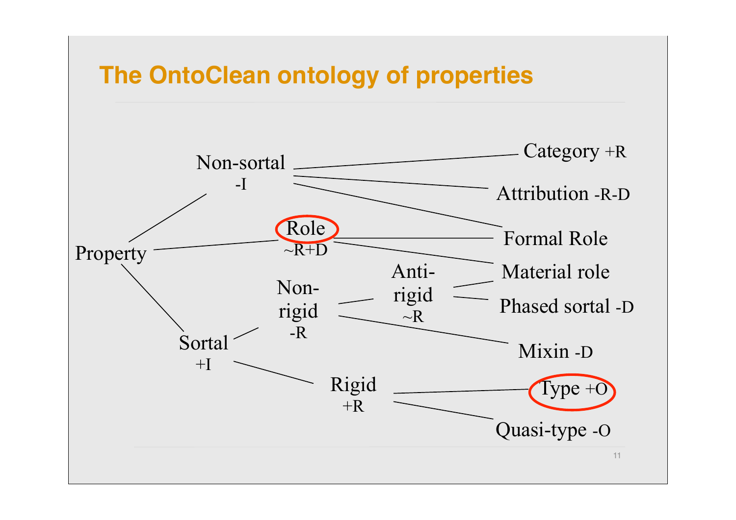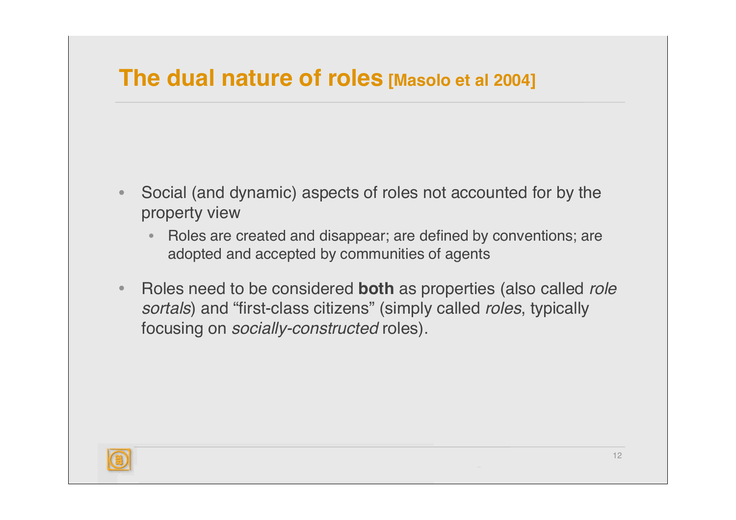#### **The dual nature of roles [Masolo et al 2004]**

- Social (and dynamic) aspects of roles not accounted for by the property view
	- Roles are created and disappear; are defined by conventions; are adopted and accepted by communities of agents
- Roles need to be considered **both** as properties (also called *role sortals*) and "first-class citizens" (simply called *roles*, typically focusing on *socially-constructed* roles).

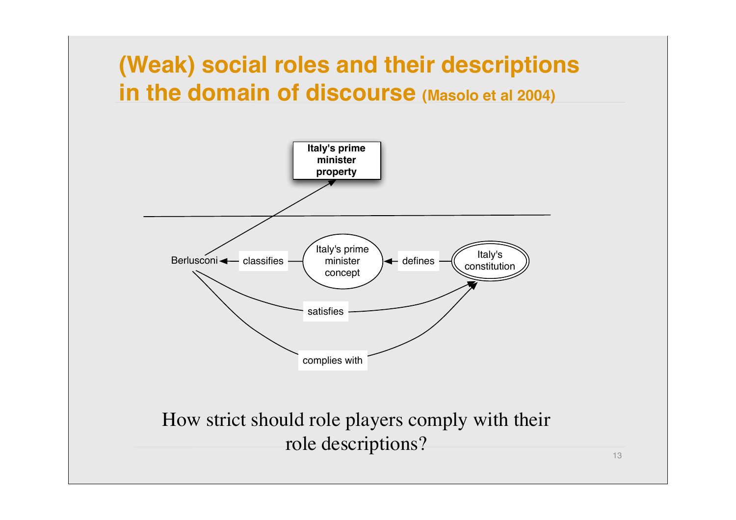



How strict should role players comply with their role descriptions?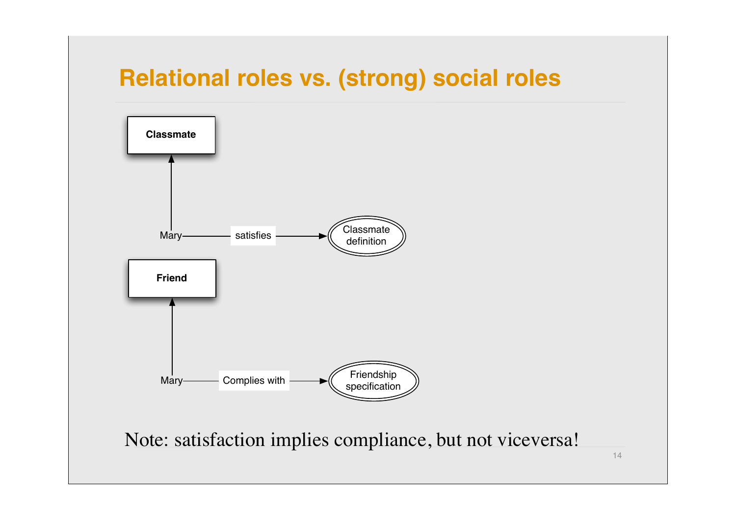### **Relational roles vs. (strong) social roles**

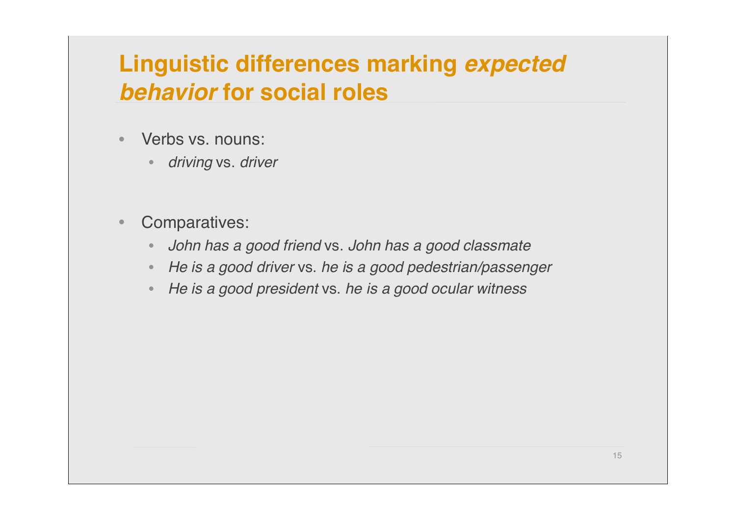# **Linguistic differences marking** *expected behavior* **for social roles**

- Verbs vs. nouns:
	- *driving* vs. *driver*
- Comparatives:
	- *John has a good friend* vs. *John has a good classmate*
	- *He is a good driver* vs. *he is a good pedestrian/passenger*
	- *He is a good president* vs. *he is a good ocular witness*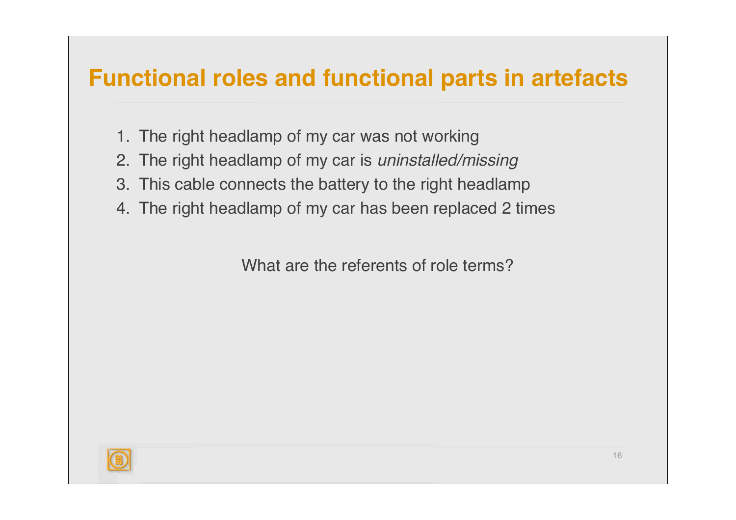## **Functional roles and functional parts in artefacts**

- 1. The right headlamp of my car was not working
- 2. The right headlamp of my car is *uninstalled/missing*
- 3. This cable connects the battery to the right headlamp
- 4. The right headlamp of my car has been replaced 2 times

What are the referents of role terms?

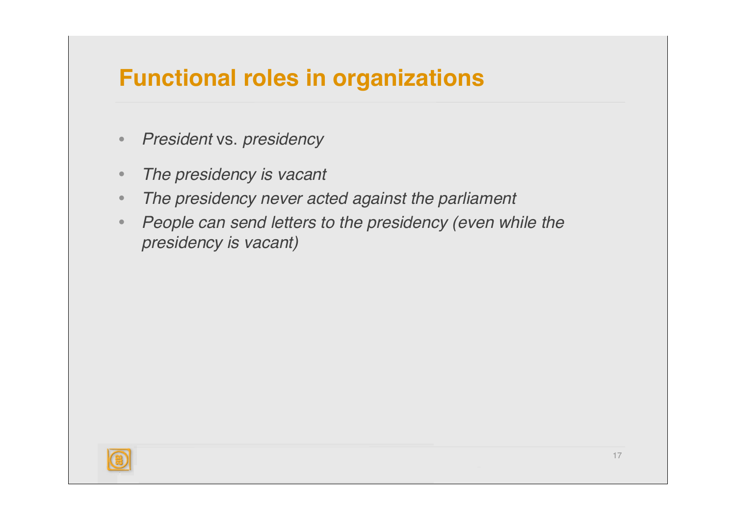### **Functional roles in organizations**

- *President* vs. *presidency*
- *The presidency is vacant*
- *The presidency never acted against the parliament*
- *People can send letters to the presidency (even while the presidency is vacant)*

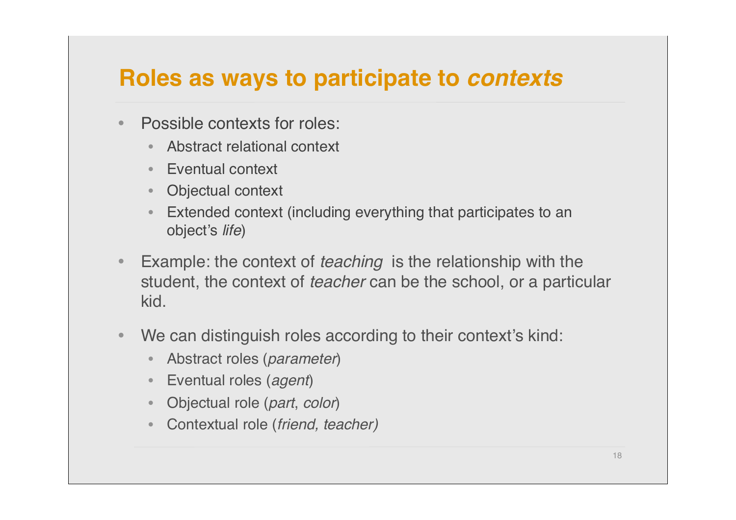#### **Roles as ways to participate to** *contexts*

- Possible contexts for roles:
	- Abstract relational context
	- Eventual context
	- Objectual context
	- Extended context (including everything that participates to an object's *life*)
- Example: the context of *teaching* is the relationship with the student, the context of *teacher* can be the school, or a particular kid.
- We can distinguish roles according to their context's kind:
	- Abstract roles (*parameter*)
	- Eventual roles (*agent*)
	- Objectual role (*part*, *color*)
	- Contextual role (*friend, teacher)*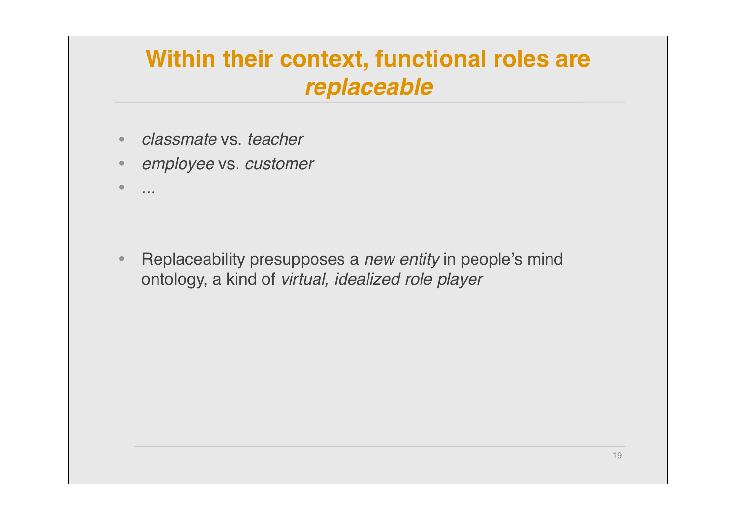# **Within their context, functional roles are**  *replaceable*

- *classmate* vs. *teacher*
- *employee* vs. *customer*
- *...*

• Replaceability presupposes a *new entity* in people's mind ontology, a kind of *virtual, idealized role player*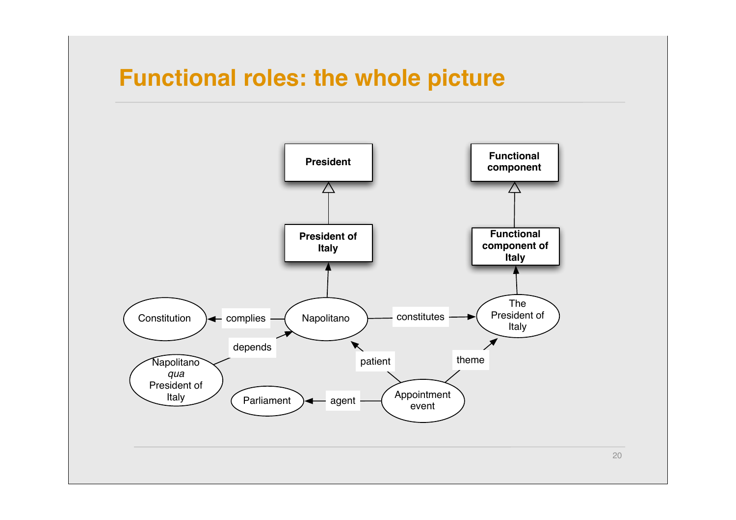#### **Functional roles: the whole picture**



20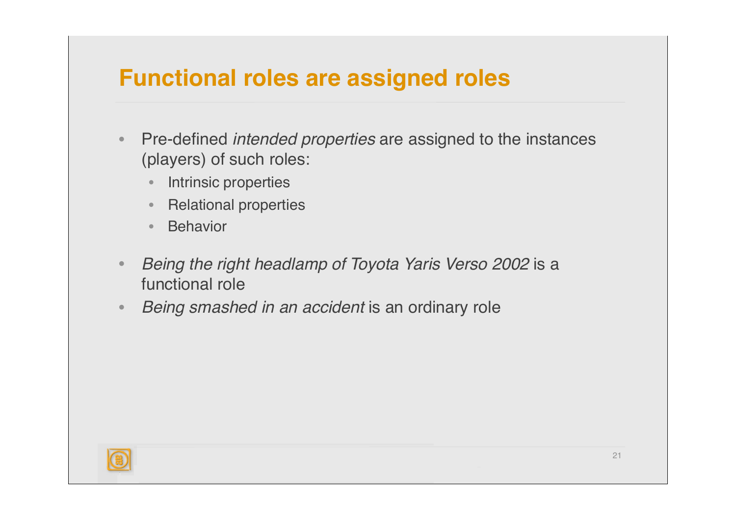### **Functional roles are assigned roles**

- Pre-defined *intended properties* are assigned to the instances (players) of such roles:
	- Intrinsic properties
	- Relational properties
	- Behavior
- *Being the right headlamp of Toyota Yaris Verso 2002* is a functional role
- *Being smashed in an accident* is an ordinary role

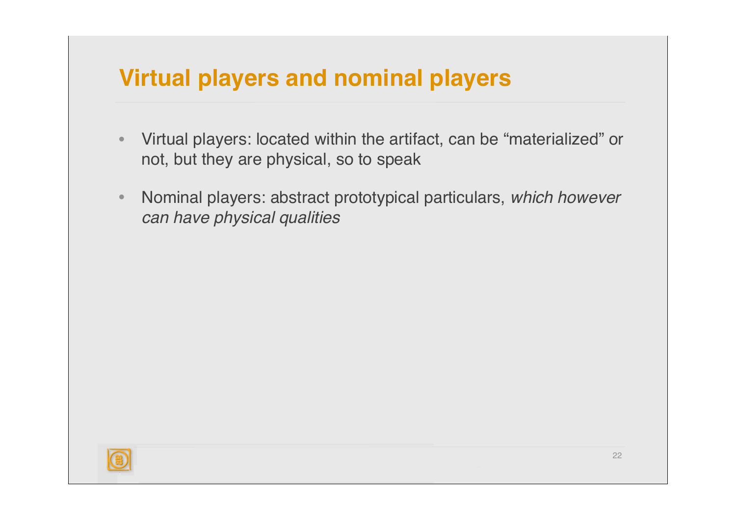### **Virtual players and nominal players**

- Virtual players: located within the artifact, can be "materialized" or not, but they are physical, so to speak
- Nominal players: abstract prototypical particulars, *which however can have physical qualities*

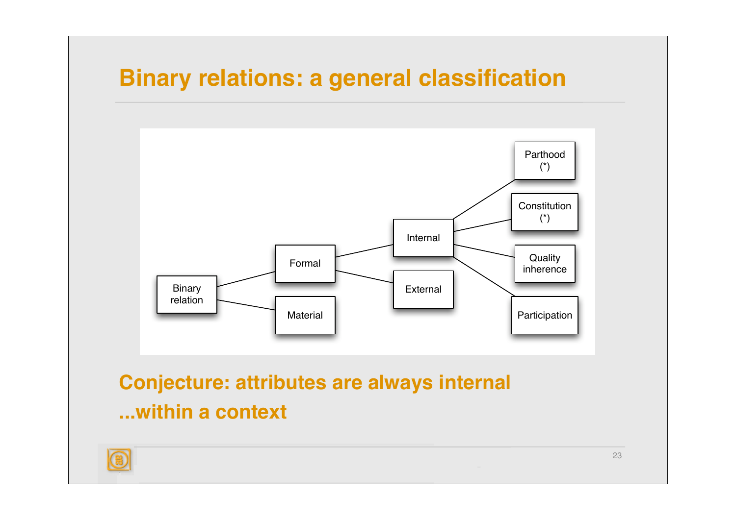## **Binary relations: a general classification**



**Conjecture: attributes are always internal ...within a context**

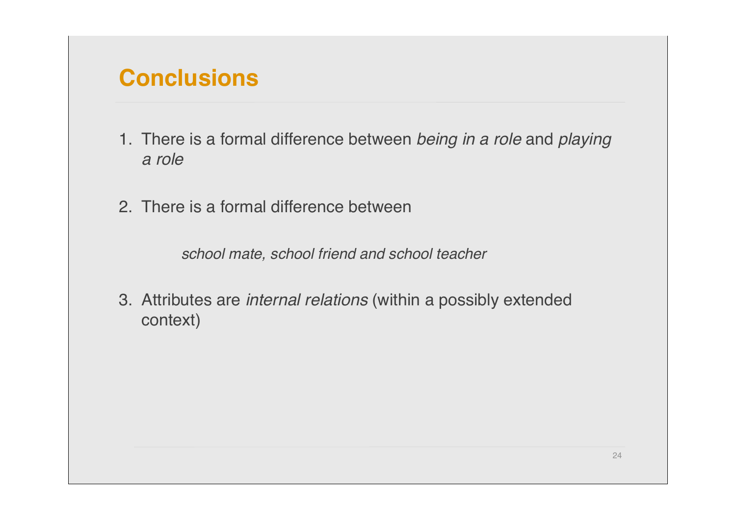#### **Conclusions**

- 1. There is a formal difference between *being in a role* and *playing a role*
- 2. There is a formal difference between

*school mate, school friend and school teacher*

3. Attributes are *internal relations* (within a possibly extended context)